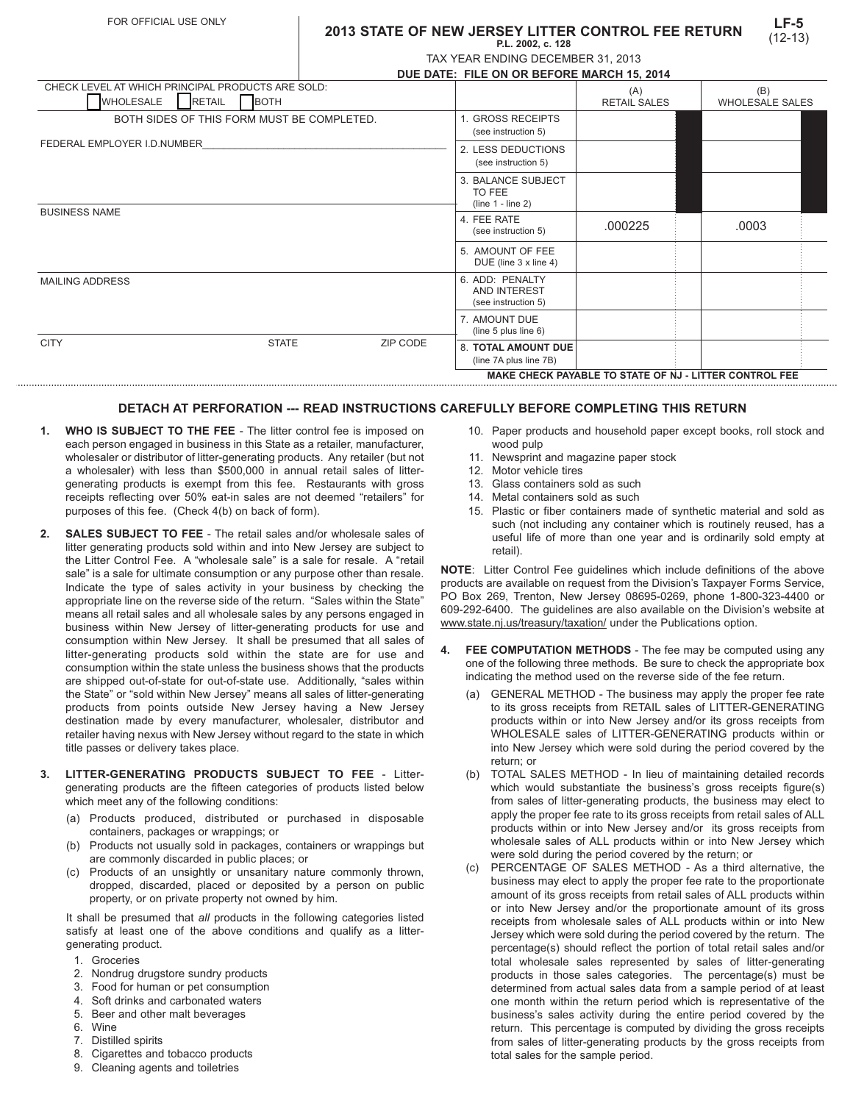### **2013 STATE OF NEW JERSEY LITTER CONTROL FEE RETURN P.L. 2002, c. 128**

| TAX YEAR ENDING DECEMBER 31, 2013 |  |
|-----------------------------------|--|

|                                                   |                              | DUE DATE: FILE ON OR BEFORE MARCH 15, 2014 |                                                        |                                                      |                     |                        |  |
|---------------------------------------------------|------------------------------|--------------------------------------------|--------------------------------------------------------|------------------------------------------------------|---------------------|------------------------|--|
| CHECK LEVEL AT WHICH PRINCIPAL PRODUCTS ARE SOLD: |                              |                                            |                                                        |                                                      | (A)                 | (B)                    |  |
| <b>WHOLESALE</b>                                  | <b>RETAIL</b><br><b>BOTH</b> |                                            |                                                        |                                                      | <b>RETAIL SALES</b> | <b>WHOLESALE SALES</b> |  |
| BOTH SIDES OF THIS FORM MUST BE COMPLETED.        |                              |                                            |                                                        | . GROSS RECEIPTS<br>(see instruction 5)              |                     |                        |  |
| FEDERAL EMPLOYER I.D.NUMBER                       |                              |                                            | 2. LESS DEDUCTIONS<br>(see instruction 5)              |                                                      |                     |                        |  |
|                                                   |                              |                                            |                                                        | 3. BALANCE SUBJECT<br>TO FEE<br>$(line 1 - line 2)$  |                     |                        |  |
| <b>BUSINESS NAME</b>                              |                              |                                            | 4. FEE RATE<br>(see instruction 5)                     | .000225                                              | .0003               |                        |  |
|                                                   |                              |                                            |                                                        | 5. AMOUNT OF FEE<br>DUE (line 3 x line 4)            |                     |                        |  |
| <b>MAILING ADDRESS</b>                            |                              |                                            | 6. ADD: PENALTY<br>AND INTEREST<br>(see instruction 5) |                                                      |                     |                        |  |
|                                                   |                              |                                            |                                                        | 7. AMOUNT DUE<br>(line 5 plus line 6)                |                     |                        |  |
| <b>CITY</b>                                       | <b>STATE</b>                 |                                            | ZIP CODE                                               | <b>8. TOTAL AMOUNT DUE</b><br>(line 7A plus line 7B) |                     |                        |  |

#### **MAKE CHECK PAYABLE TO STATE OF NJ - LITTER CONTROL FEE**

# **DETACH AT PERFORATION --- READ INSTRUCTIONS CAREFULLY BEFORE COMPLETING THIS RETURN**

- **1. WHO IS SUBJECT TO THE FEE** The litter control fee is imposed on each person engaged in business in this State as a retailer, manufacturer, wholesaler or distributor of litter-generating products. Any retailer (but not a wholesaler) with less than \$500,000 in annual retail sales of littergenerating products is exempt from this fee. Restaurants with gross receipts reflecting over 50% eat-in sales are not deemed "retailers" for purposes of this fee. (Check 4(b) on back of form).
- **2. SALES SUBJECT TO FEE**  The retail sales and/or wholesale sales of litter generating products sold within and into New Jersey are subject to the Litter Control Fee. A "wholesale sale" is a sale for resale. A "retail sale" is a sale for ultimate consumption or any purpose other than resale. Indicate the type of sales activity in your business by checking the appropriate line on the reverse side of the return. "Sales within the State" means all retail sales and all wholesale sales by any persons engaged in business within New Jersey of litter-generating products for use and consumption within New Jersey. It shall be presumed that all sales of litter-generating products sold within the state are for use and consumption within the state unless the business shows that the products are shipped out-of-state for out-of-state use. Additionally, "sales within the State" or "sold within New Jersey" means all sales of litter-generating products from points outside New Jersey having a New Jersey destination made by every manufacturer, wholesaler, distributor and retailer having nexus with New Jersey without regard to the state in which title passes or delivery takes place.
- **3. LITTER-GENERATING PRODUCTS SUBJECT TO FEE** Littergenerating products are the fifteen categories of products listed below which meet any of the following conditions:
	- (a) Products produced, distributed or purchased in disposable containers, packages or wrappings; or
	- (b) Products not usually sold in packages, containers or wrappings but are commonly discarded in public places; or
	- (c) Products of an unsightly or unsanitary nature commonly thrown, dropped, discarded, placed or deposited by a person on public property, or on private property not owned by him.

It shall be presumed that *all* products in the following categories listed satisfy at least one of the above conditions and qualify as a littergenerating product.

- 1. Groceries
- 2. Nondrug drugstore sundry products
- 3. Food for human or pet consumption
- 4. Soft drinks and carbonated waters
- 5. Beer and other malt beverages
- 6. Wine
- 7. Distilled spirits
- 8. Cigarettes and tobacco products
- 9. Cleaning agents and toiletries
- 10. Paper products and household paper except books, roll stock and wood pulp
- 11. Newsprint and magazine paper stock
- 12. Motor vehicle tires
- 13. Glass containers sold as such
- 14. Metal containers sold as such
- 15. Plastic or fiber containers made of synthetic material and sold as such (not including any container which is routinely reused, has a useful life of more than one year and is ordinarily sold empty at retail).

**NOTE**: Litter Control Fee guidelines which include definitions of the above products are available on request from the Division's Taxpayer Forms Service, PO Box 269, Trenton, New Jersey 08695-0269, phone 1-800-323-4400 or 609-292-6400. The guidelines are also available on the Division's website at www.state.nj.us/treasury/taxation/ under the Publications option.

- **4. FEE COMPUTATION METHODS** The fee may be computed using any one of the following three methods. Be sure to check the appropriate box indicating the method used on the reverse side of the fee return.
	- (a) GENERAL METHOD The business may apply the proper fee rate to its gross receipts from RETAIL sales of LITTER-GENERATING products within or into New Jersey and/or its gross receipts from WHOLESALE sales of LITTER-GENERATING products within or into New Jersey which were sold during the period covered by the return; or
	- (b) TOTAL SALES METHOD In lieu of maintaining detailed records which would substantiate the business's gross receipts figure(s) from sales of litter-generating products, the business may elect to apply the proper fee rate to its gross receipts from retail sales of ALL products within or into New Jersey and/or its gross receipts from wholesale sales of ALL products within or into New Jersey which were sold during the period covered by the return; or
	- (c) PERCENTAGE OF SALES METHOD As a third alternative, the business may elect to apply the proper fee rate to the proportionate amount of its gross receipts from retail sales of ALL products within or into New Jersey and/or the proportionate amount of its gross receipts from wholesale sales of ALL products within or into New Jersey which were sold during the period covered by the return. The percentage(s) should reflect the portion of total retail sales and/or total wholesale sales represented by sales of litter-generating products in those sales categories. The percentage(s) must be determined from actual sales data from a sample period of at least one month within the return period which is representative of the business's sales activity during the entire period covered by the return. This percentage is computed by dividing the gross receipts from sales of litter-generating products by the gross receipts from total sales for the sample period.

**LF-5** (12-13)